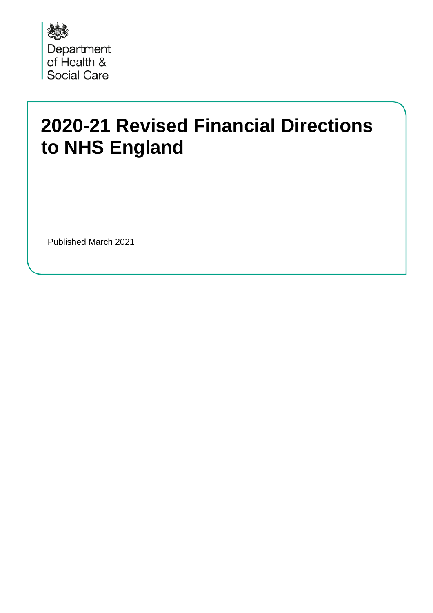

# **2020-21 Revised Financial Directions to NHS England**

Published March 2021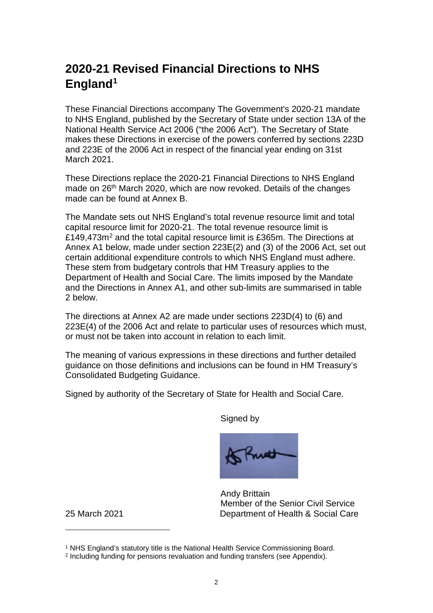#### **2020-21 Revised Financial Directions to NHS England[1](#page-1-0)**

These Financial Directions accompany The Government's 2020-21 mandate to NHS England, published by the Secretary of State under section 13A of the National Health Service Act 2006 ("the 2006 Act"). The Secretary of State makes these Directions in exercise of the powers conferred by sections 223D and 223E of the 2006 Act in respect of the financial year ending on 31st March 2021.

These Directions replace the 2020-21 Financial Directions to NHS England made on 26<sup>th</sup> March 2020, which are now revoked. Details of the changes made can be found at Annex B.

The Mandate sets out NHS England's total revenue resource limit and total capital resource limit for 2020-21. The total revenue resource limit is £149,473m<sup>[2](#page-1-1)</sup> and the total capital resource limit is £365m. The Directions at Annex A1 below, made under section 223E(2) and (3) of the 2006 Act, set out certain additional expenditure controls to which NHS England must adhere. These stem from budgetary controls that HM Treasury applies to the Department of Health and Social Care. The limits imposed by the Mandate and the Directions in Annex A1, and other sub-limits are summarised in table 2 below.

The directions at Annex A2 are made under sections 223D(4) to (6) and 223E(4) of the 2006 Act and relate to particular uses of resources which must, or must not be taken into account in relation to each limit.

The meaning of various expressions in these directions and further detailed guidance on those definitions and inclusions can be found in HM Treasury's Consolidated Budgeting Guidance.

Signed by authority of the Secretary of State for Health and Social Care.

Signed by



 Andy Brittain Member of the Senior Civil Service 25 March 2021 Department of Health & Social Care

<span id="page-1-0"></span><sup>&</sup>lt;sup>1</sup> NHS England's statutory title is the National Health Service Commissioning Board.

<span id="page-1-1"></span><sup>2</sup> Including funding for pensions revaluation and funding transfers (see Appendix).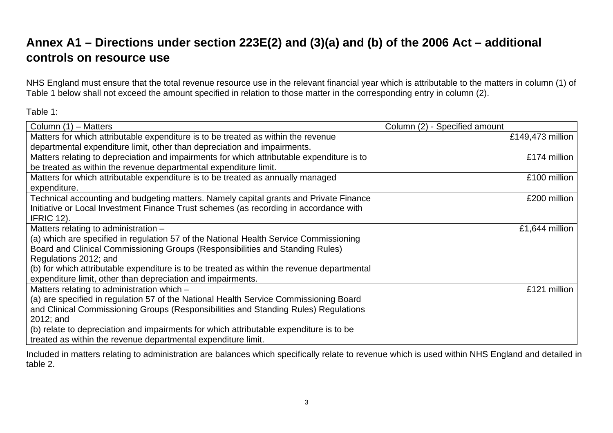## **Annex A1 – Directions under section 223E(2) and (3)(a) and (b) of the 2006 Act – additional controls on resource use**

NHS England must ensure that the total revenue resource use in the relevant financial year which is attributable to the matters in column (1) of Table 1 below shall not exceed the amount specified in relation to those matter in the corresponding entry in column (2).

Table 1:

| Column (1) - Matters                                                                       | Column (2) - Specified amount |
|--------------------------------------------------------------------------------------------|-------------------------------|
| Matters for which attributable expenditure is to be treated as within the revenue          | £149,473 million              |
| departmental expenditure limit, other than depreciation and impairments.                   |                               |
| Matters relating to depreciation and impairments for which attributable expenditure is to  | £174 million                  |
| be treated as within the revenue departmental expenditure limit.                           |                               |
| Matters for which attributable expenditure is to be treated as annually managed            | £100 million                  |
| expenditure.                                                                               |                               |
| Technical accounting and budgeting matters. Namely capital grants and Private Finance      | £200 million                  |
| Initiative or Local Investment Finance Trust schemes (as recording in accordance with      |                               |
| <b>IFRIC 12).</b>                                                                          |                               |
| Matters relating to administration -                                                       | £1,644 million                |
| (a) which are specified in regulation 57 of the National Health Service Commissioning      |                               |
| Board and Clinical Commissioning Groups (Responsibilities and Standing Rules)              |                               |
| Regulations 2012; and                                                                      |                               |
| (b) for which attributable expenditure is to be treated as within the revenue departmental |                               |
| expenditure limit, other than depreciation and impairments.                                |                               |
| Matters relating to administration which -                                                 | £121 million                  |
| (a) are specified in regulation 57 of the National Health Service Commissioning Board      |                               |
| and Clinical Commissioning Groups (Responsibilities and Standing Rules) Regulations        |                               |
| 2012; and                                                                                  |                               |
| (b) relate to depreciation and impairments for which attributable expenditure is to be     |                               |
| treated as within the revenue departmental expenditure limit.                              |                               |

Included in matters relating to administration are balances which specifically relate to revenue which is used within NHS England and detailed in table 2.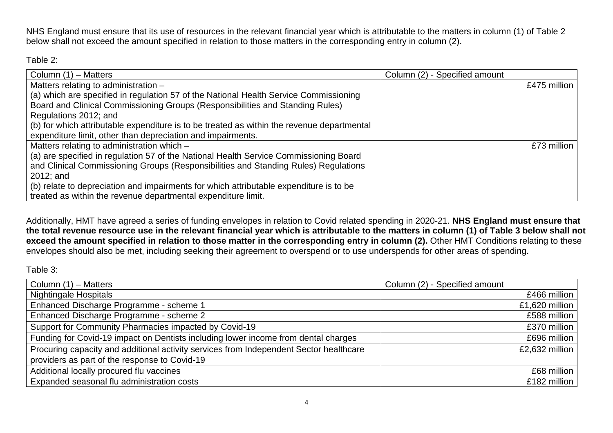NHS England must ensure that its use of resources in the relevant financial year which is attributable to the matters in column (1) of Table 2 below shall not exceed the amount specified in relation to those matters in the corresponding entry in column (2).

Table 2:

| Column (1) – Matters                                                                       | Column (2) - Specified amount |
|--------------------------------------------------------------------------------------------|-------------------------------|
| Matters relating to administration -                                                       | £475 million                  |
| (a) which are specified in regulation 57 of the National Health Service Commissioning      |                               |
| Board and Clinical Commissioning Groups (Responsibilities and Standing Rules)              |                               |
| Regulations 2012; and                                                                      |                               |
| (b) for which attributable expenditure is to be treated as within the revenue departmental |                               |
| expenditure limit, other than depreciation and impairments.                                |                               |
| Matters relating to administration which -                                                 | £73 million                   |
| (a) are specified in regulation 57 of the National Health Service Commissioning Board      |                               |
| and Clinical Commissioning Groups (Responsibilities and Standing Rules) Regulations        |                               |
| $2012$ ; and                                                                               |                               |
| (b) relate to depreciation and impairments for which attributable expenditure is to be     |                               |
| treated as within the revenue departmental expenditure limit.                              |                               |

Additionally, HMT have agreed a series of funding envelopes in relation to Covid related spending in 2020-21. **NHS England must ensure that the total revenue resource use in the relevant financial year which is attributable to the matters in column (1) of Table 3 below shall not exceed the amount specified in relation to those matter in the corresponding entry in column (2).** Other HMT Conditions relating to these envelopes should also be met, including seeking their agreement to overspend or to use underspends for other areas of spending.

Table 3:

| Column (1) – Matters                                                                   | Column (2) - Specified amount |
|----------------------------------------------------------------------------------------|-------------------------------|
| <b>Nightingale Hospitals</b>                                                           | £466 million                  |
| Enhanced Discharge Programme - scheme 1                                                | £1,620 million                |
| Enhanced Discharge Programme - scheme 2                                                | £588 million                  |
| Support for Community Pharmacies impacted by Covid-19                                  | £370 million                  |
| Funding for Covid-19 impact on Dentists including lower income from dental charges     | £696 million                  |
| Procuring capacity and additional activity services from Independent Sector healthcare | £2,632 million                |
| providers as part of the response to Covid-19                                          |                               |
| Additional locally procured flu vaccines                                               | £68 million                   |
| Expanded seasonal flu administration costs                                             | £182 million                  |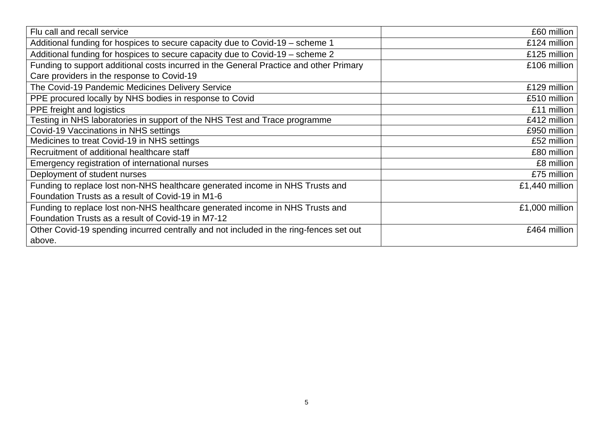| Flu call and recall service                                                            | £60 million    |
|----------------------------------------------------------------------------------------|----------------|
| Additional funding for hospices to secure capacity due to Covid-19 - scheme 1          | £124 million   |
|                                                                                        |                |
| Additional funding for hospices to secure capacity due to Covid-19 - scheme 2          | £125 million   |
| Funding to support additional costs incurred in the General Practice and other Primary | £106 million   |
| Care providers in the response to Covid-19                                             |                |
| The Covid-19 Pandemic Medicines Delivery Service                                       | £129 million   |
| PPE procured locally by NHS bodies in response to Covid                                | £510 million   |
| PPE freight and logistics                                                              | £11 million    |
| Testing in NHS laboratories in support of the NHS Test and Trace programme             | £412 million   |
| Covid-19 Vaccinations in NHS settings                                                  | £950 million   |
| Medicines to treat Covid-19 in NHS settings                                            | £52 million    |
| Recruitment of additional healthcare staff                                             | £80 million    |
| Emergency registration of international nurses                                         | £8 million     |
| Deployment of student nurses                                                           | £75 million    |
| Funding to replace lost non-NHS healthcare generated income in NHS Trusts and          | £1,440 million |
| Foundation Trusts as a result of Covid-19 in M1-6                                      |                |
| Funding to replace lost non-NHS healthcare generated income in NHS Trusts and          | £1,000 million |
| Foundation Trusts as a result of Covid-19 in M7-12                                     |                |
| Other Covid-19 spending incurred centrally and not included in the ring-fences set out | £464 million   |
| above.                                                                                 |                |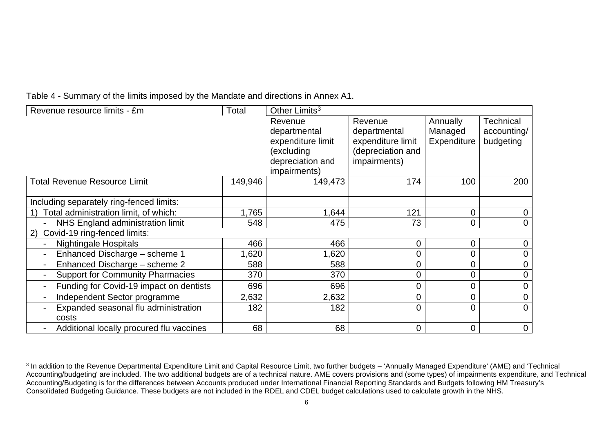<span id="page-5-0"></span>Table 4 - Summary of the limits imposed by the Mandate and directions in Annex A1.

| Revenue resource limits - £m             | Total   | Other Limits <sup>3</sup> |                   |                |                |
|------------------------------------------|---------|---------------------------|-------------------|----------------|----------------|
|                                          |         | Revenue                   | Revenue           | Annually       | Technical      |
|                                          |         | departmental              | departmental      | Managed        | accounting/    |
|                                          |         | expenditure limit         | expenditure limit | Expenditure    | budgeting      |
|                                          |         | (excluding                | (depreciation and |                |                |
|                                          |         | depreciation and          | impairments)      |                |                |
|                                          |         | impairments)              |                   |                |                |
| <b>Total Revenue Resource Limit</b>      | 149,946 | 149,473                   | 174               | 100            | 200            |
|                                          |         |                           |                   |                |                |
| Including separately ring-fenced limits: |         |                           |                   |                |                |
| Total administration limit, of which:    | 1,765   | 1,644                     | 121               | $\overline{0}$ |                |
| NHS England administration limit         | 548     | 475                       | 73                | $\overline{0}$ |                |
| Covid-19 ring-fenced limits:<br>2)       |         |                           |                   |                |                |
| <b>Nightingale Hospitals</b>             | 466     | 466                       | 0                 | $\mathbf 0$    | 0              |
| Enhanced Discharge - scheme 1            | 1,620   | 1,620                     | $\overline{0}$    | $\overline{0}$ | 0              |
| Enhanced Discharge - scheme 2            | 588     | 588                       | 0                 | $\Omega$       |                |
| <b>Support for Community Pharmacies</b>  | 370     | 370                       | $\overline{0}$    | $\overline{0}$ |                |
| Funding for Covid-19 impact on dentists  | 696     | 696                       | $\overline{0}$    | $\overline{0}$ |                |
| Independent Sector programme             | 2,632   | 2,632                     | $\overline{0}$    | $\overline{0}$ | 0              |
| Expanded seasonal flu administration     | 182     | 182                       | $\overline{0}$    | $\overline{0}$ | $\overline{0}$ |
| costs                                    |         |                           |                   |                |                |
| Additional locally procured flu vaccines | 68      | 68                        | $\mathbf 0$       | $\overline{0}$ | $\mathbf 0$    |

<sup>&</sup>lt;sup>3</sup> In addition to the Revenue Departmental Expenditure Limit and Capital Resource Limit, two further budgets - 'Annually Managed Expenditure' (AME) and 'Technical Accounting/budgeting' are included. The two additional budgets are of a technical nature. AME covers provisions and (some types) of impairments expenditure, and Technical Accounting/Budgeting is for the differences between Accounts produced under International Financial Reporting Standards and Budgets following HM Treasury's Consolidated Budgeting Guidance. These budgets are not included in the RDEL and CDEL budget calculations used to calculate growth in the NHS.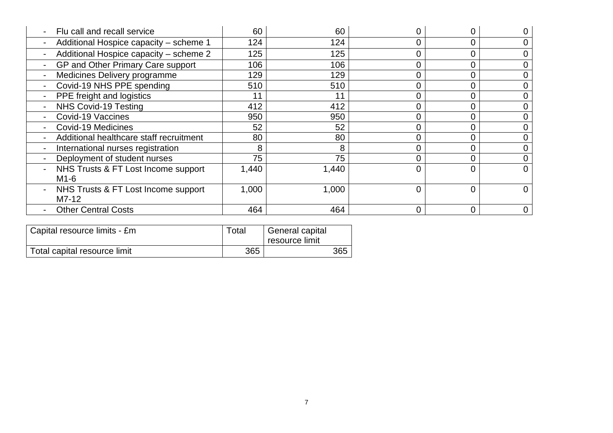| Flu call and recall service             | 60    | 60    |                |          |  |
|-----------------------------------------|-------|-------|----------------|----------|--|
| Additional Hospice capacity - scheme 1  | 124   | 124   | $\Omega$       | $\Omega$ |  |
| Additional Hospice capacity - scheme 2  | 125   | 125   | 0              | 0        |  |
| GP and Other Primary Care support       | 106   | 106   |                |          |  |
| Medicines Delivery programme            | 129   | 129   |                |          |  |
| Covid-19 NHS PPE spending               | 510   | 510   |                |          |  |
| PPE freight and logistics               |       | 11    |                |          |  |
| NHS Covid-19 Testing                    | 412   | 412   |                |          |  |
| Covid-19 Vaccines                       | 950   | 950   |                |          |  |
| Covid-19 Medicines                      | 52    | 52    | 0              |          |  |
| Additional healthcare staff recruitment | 80    | 80    |                |          |  |
| International nurses registration       | 8     | 8     |                |          |  |
| Deployment of student nurses            | 75    | 75    |                |          |  |
| NHS Trusts & FT Lost Income support     | 1,440 | 1,440 | $\Omega$       |          |  |
| $M1-6$                                  |       |       |                |          |  |
| NHS Trusts & FT Lost Income support     | 1,000 | 1,000 | $\Omega$       | $\Omega$ |  |
| $M7-12$                                 |       |       |                |          |  |
| <b>Other Central Costs</b>              | 464   | 464   | $\overline{0}$ | $\Omega$ |  |

| Capital resource limits - £m | Total | General capital<br>resource limit |
|------------------------------|-------|-----------------------------------|
| Total capital resource limit | 365   | 365                               |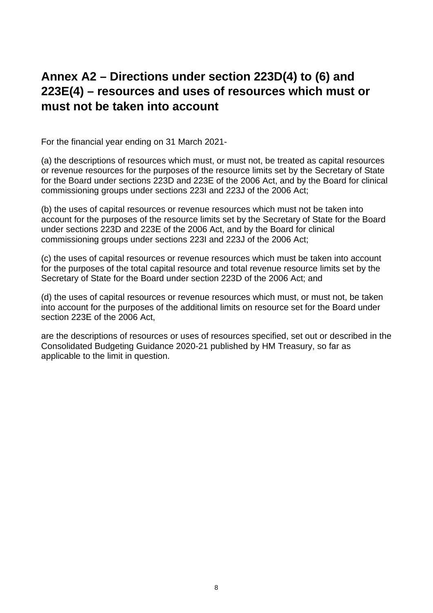#### **Annex A2 – Directions under section 223D(4) to (6) and 223E(4) – resources and uses of resources which must or must not be taken into account**

For the financial year ending on 31 March 2021-

(a) the descriptions of resources which must, or must not, be treated as capital resources or revenue resources for the purposes of the resource limits set by the Secretary of State for the Board under sections 223D and 223E of the 2006 Act, and by the Board for clinical commissioning groups under sections 223I and 223J of the 2006 Act;

(b) the uses of capital resources or revenue resources which must not be taken into account for the purposes of the resource limits set by the Secretary of State for the Board under sections 223D and 223E of the 2006 Act, and by the Board for clinical commissioning groups under sections 223I and 223J of the 2006 Act;

(c) the uses of capital resources or revenue resources which must be taken into account for the purposes of the total capital resource and total revenue resource limits set by the Secretary of State for the Board under section 223D of the 2006 Act; and

(d) the uses of capital resources or revenue resources which must, or must not, be taken into account for the purposes of the additional limits on resource set for the Board under section 223E of the 2006 Act,

are the descriptions of resources or uses of resources specified, set out or described in the Consolidated Budgeting Guidance 2020-21 published by HM Treasury, so far as applicable to the limit in question.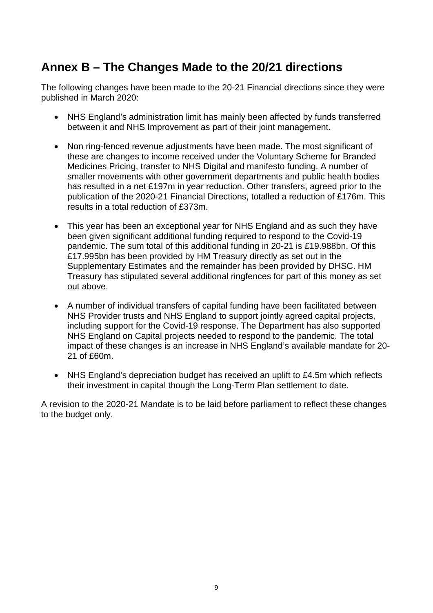## **Annex B – The Changes Made to the 20/21 directions**

The following changes have been made to the 20-21 Financial directions since they were published in March 2020:

- NHS England's administration limit has mainly been affected by funds transferred between it and NHS Improvement as part of their joint management.
- Non ring-fenced revenue adjustments have been made. The most significant of these are changes to income received under the Voluntary Scheme for Branded Medicines Pricing, transfer to NHS Digital and manifesto funding. A number of smaller movements with other government departments and public health bodies has resulted in a net £197m in year reduction. Other transfers, agreed prior to the publication of the 2020-21 Financial Directions, totalled a reduction of £176m. This results in a total reduction of £373m.
- This year has been an exceptional year for NHS England and as such they have been given significant additional funding required to respond to the Covid-19 pandemic. The sum total of this additional funding in 20-21 is £19.988bn. Of this £17.995bn has been provided by HM Treasury directly as set out in the Supplementary Estimates and the remainder has been provided by DHSC. HM Treasury has stipulated several additional ringfences for part of this money as set out above.
- A number of individual transfers of capital funding have been facilitated between NHS Provider trusts and NHS England to support jointly agreed capital projects, including support for the Covid-19 response. The Department has also supported NHS England on Capital projects needed to respond to the pandemic. The total impact of these changes is an increase in NHS England's available mandate for 20- 21 of £60m.
- NHS England's depreciation budget has received an uplift to £4.5m which reflects their investment in capital though the Long-Term Plan settlement to date.

A revision to the 2020-21 Mandate is to be laid before parliament to reflect these changes to the budget only.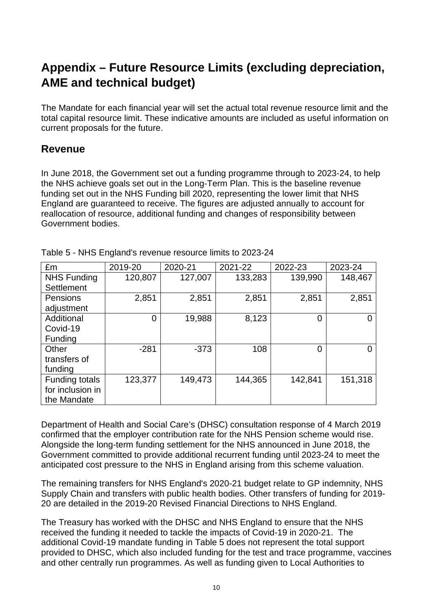## **Appendix – Future Resource Limits (excluding depreciation, AME and technical budget)**

The Mandate for each financial year will set the actual total revenue resource limit and the total capital resource limit. These indicative amounts are included as useful information on current proposals for the future.

#### **Revenue**

In June 2018, the Government set out a funding programme through to 2023-24, to help the NHS achieve goals set out in the Long-Term Plan. This is the baseline revenue funding set out in the NHS Funding bill 2020, representing the lower limit that NHS England are guaranteed to receive. The figures are adjusted annually to account for reallocation of resource, additional funding and changes of responsibility between Government bodies.

| £m                    | 2019-20 | 2020-21 | 2021-22 | 2022-23 | 2023-24  |
|-----------------------|---------|---------|---------|---------|----------|
| <b>NHS Funding</b>    | 120,807 | 127,007 | 133,283 | 139,990 | 148,467  |
| Settlement            |         |         |         |         |          |
| <b>Pensions</b>       | 2,851   | 2,851   | 2,851   | 2,851   | 2,851    |
| adjustment            |         |         |         |         |          |
| Additional            | 0       | 19,988  | 8,123   | 0       | $\Omega$ |
| Covid-19              |         |         |         |         |          |
| Funding               |         |         |         |         |          |
| Other                 | $-281$  | $-373$  | 108     | 0       | 0        |
| transfers of          |         |         |         |         |          |
| funding               |         |         |         |         |          |
| <b>Funding totals</b> | 123,377 | 149,473 | 144,365 | 142,841 | 151,318  |
| for inclusion in      |         |         |         |         |          |
| the Mandate           |         |         |         |         |          |

Table 5 - NHS England's revenue resource limits to 2023-24

Department of Health and Social Care's (DHSC) consultation response of 4 March 2019 confirmed that the employer contribution rate for the NHS Pension scheme would rise. Alongside the long-term funding settlement for the NHS announced in June 2018, the Government committed to provide additional recurrent funding until 2023-24 to meet the anticipated cost pressure to the NHS in England arising from this scheme valuation.

The remaining transfers for NHS England's 2020-21 budget relate to GP indemnity, NHS Supply Chain and transfers with public health bodies. Other transfers of funding for 2019- 20 are detailed in the 2019-20 Revised Financial Directions to NHS England.

The Treasury has worked with the DHSC and NHS England to ensure that the NHS received the funding it needed to tackle the impacts of Covid-19 in 2020-21. The additional Covid-19 mandate funding in Table 5 does not represent the total support provided to DHSC, which also included funding for the test and trace programme, vaccines and other centrally run programmes. As well as funding given to Local Authorities to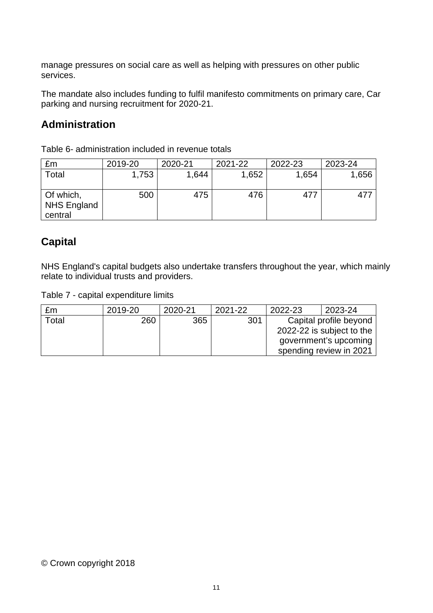manage pressures on social care as well as helping with pressures on other public services.

The mandate also includes funding to fulfil manifesto commitments on primary care, Car parking and nursing recruitment for 2020-21.

#### **Administration**

Table 6- administration included in revenue totals

| £m                                         | 2019-20 | 2020-21 | 2021-22 | 2022-23 | 2023-24 |
|--------------------------------------------|---------|---------|---------|---------|---------|
| Total                                      | 1,753   | 1,644   | 1,652   | 1,654   | 1,656   |
| Of which,<br><b>NHS England</b><br>central | 500     | 475     | 476     | 477     | 477     |

#### **Capital**

NHS England's capital budgets also undertake transfers throughout the year, which mainly relate to individual trusts and providers.

Table 7 - capital expenditure limits

| £m    | 2019-20 | 2020-21 | 2021-22 | 2022-23 | 2023-24                   |
|-------|---------|---------|---------|---------|---------------------------|
| Total | 260     | 365     | 301     |         | Capital profile beyond    |
|       |         |         |         |         | 2022-22 is subject to the |
|       |         |         |         |         | government's upcoming     |
|       |         |         |         |         | spending review in 2021   |